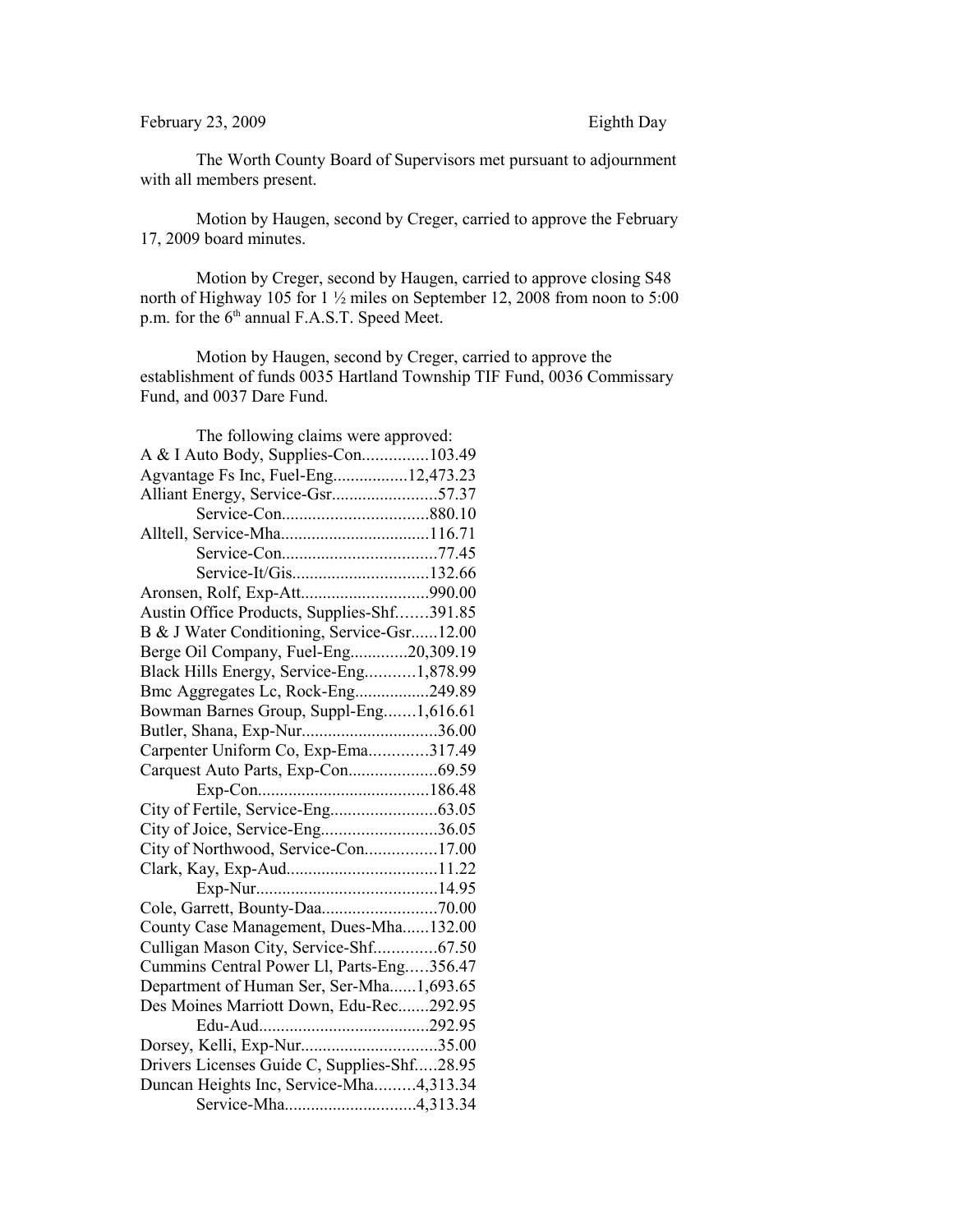## February 23, 2009 Eighth Day

The Worth County Board of Supervisors met pursuant to adjournment with all members present.

Motion by Haugen, second by Creger, carried to approve the February 17, 2009 board minutes.

Motion by Creger, second by Haugen, carried to approve closing S48 north of Highway 105 for 1 ½ miles on September 12, 2008 from noon to 5:00 p.m. for the 6<sup>th</sup> annual F.A.S.T. Speed Meet.

Motion by Haugen, second by Creger, carried to approve the establishment of funds 0035 Hartland Township TIF Fund, 0036 Commissary Fund, and 0037 Dare Fund.

| The following claims were approved:         |  |
|---------------------------------------------|--|
| A & I Auto Body, Supplies-Con103.49         |  |
| Agvantage Fs Inc, Fuel-Eng12,473.23         |  |
| Alliant Energy, Service-Gsr57.37            |  |
|                                             |  |
|                                             |  |
|                                             |  |
| Service-It/Gis132.66                        |  |
|                                             |  |
| Austin Office Products, Supplies-Shf391.85  |  |
| B & J Water Conditioning, Service-Gsr12.00  |  |
| Berge Oil Company, Fuel-Eng20,309.19        |  |
| Black Hills Energy, Service-Eng1,878.99     |  |
| Bmc Aggregates Lc, Rock-Eng249.89           |  |
| Bowman Barnes Group, Suppl-Eng1,616.61      |  |
| Butler, Shana, Exp-Nur36.00                 |  |
| Carpenter Uniform Co, Exp-Ema317.49         |  |
| Carquest Auto Parts, Exp-Con69.59           |  |
|                                             |  |
|                                             |  |
| City of Joice, Service-Eng36.05             |  |
| City of Northwood, Service-Con17.00         |  |
|                                             |  |
|                                             |  |
| Cole, Garrett, Bounty-Daa70.00              |  |
| County Case Management, Dues-Mha132.00      |  |
| Culligan Mason City, Service-Shf67.50       |  |
| Cummins Central Power Ll, Parts-Eng356.47   |  |
| Department of Human Ser, Ser-Mha1,693.65    |  |
| Des Moines Marriott Down, Edu-Rec292.95     |  |
|                                             |  |
| Dorsey, Kelli, Exp-Nur35.00                 |  |
| Drivers Licenses Guide C, Supplies-Shf28.95 |  |
| Duncan Heights Inc, Service-Mha4,313.34     |  |
| Service-Mha4,313.34                         |  |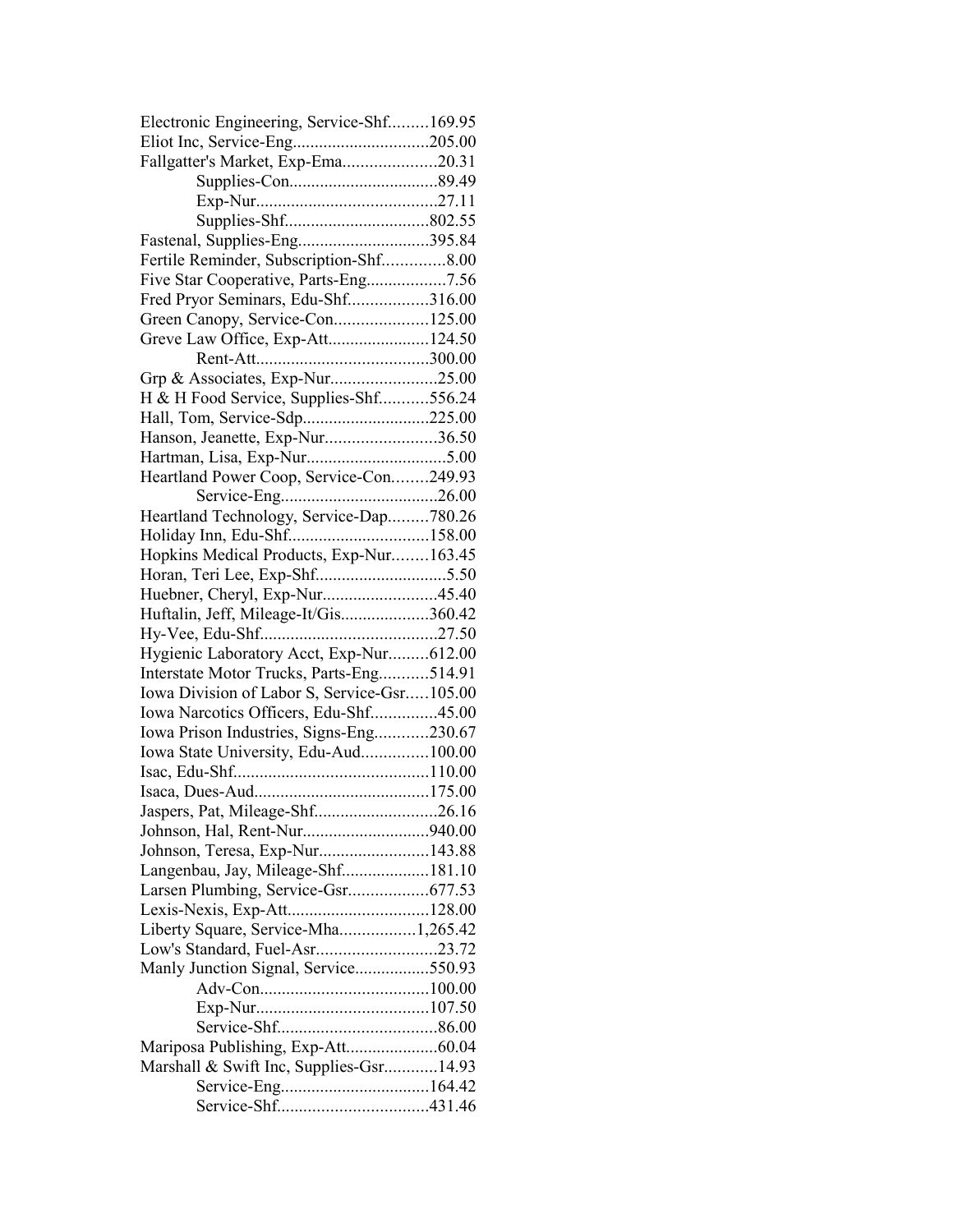| Electronic Engineering, Service-Shf169.95   |  |
|---------------------------------------------|--|
| Eliot Inc, Service-Eng205.00                |  |
| Fallgatter's Market, Exp-Ema20.31           |  |
|                                             |  |
|                                             |  |
|                                             |  |
|                                             |  |
| Fertile Reminder, Subscription-Shf8.00      |  |
| Five Star Cooperative, Parts-Eng7.56        |  |
| Fred Pryor Seminars, Edu-Shf316.00          |  |
| Green Canopy, Service-Con125.00             |  |
| Greve Law Office, Exp-Att124.50             |  |
|                                             |  |
| Grp & Associates, Exp-Nur25.00              |  |
| H & H Food Service, Supplies-Shf556.24      |  |
|                                             |  |
| Hanson, Jeanette, Exp-Nur36.50              |  |
|                                             |  |
| Heartland Power Coop, Service-Con249.93     |  |
|                                             |  |
| Heartland Technology, Service-Dap780.26     |  |
|                                             |  |
| Hopkins Medical Products, Exp-Nur163.45     |  |
|                                             |  |
| Huebner, Cheryl, Exp-Nur45.40               |  |
| Huftalin, Jeff, Mileage-It/Gis360.42        |  |
|                                             |  |
| Hygienic Laboratory Acct, Exp-Nur612.00     |  |
| Interstate Motor Trucks, Parts-Eng514.91    |  |
| Iowa Division of Labor S, Service-Gsr105.00 |  |
| Iowa Narcotics Officers, Edu-Shf45.00       |  |
| Iowa Prison Industries, Signs-Eng230.67     |  |
| Iowa State University, Edu-Aud100.00        |  |
|                                             |  |
|                                             |  |
| Jaspers, Pat, Mileage-Shf26.16              |  |
|                                             |  |
| Johnson, Teresa, Exp-Nur143.88              |  |
| Langenbau, Jay, Mileage-Shf181.10           |  |
|                                             |  |
| Lexis-Nexis, Exp-Att128.00                  |  |
| Liberty Square, Service-Mha1,265.42         |  |
|                                             |  |
| Manly Junction Signal, Service550.93        |  |
|                                             |  |
|                                             |  |
|                                             |  |
|                                             |  |
| Marshall & Swift Inc, Supplies-Gsr14.93     |  |
|                                             |  |
|                                             |  |
|                                             |  |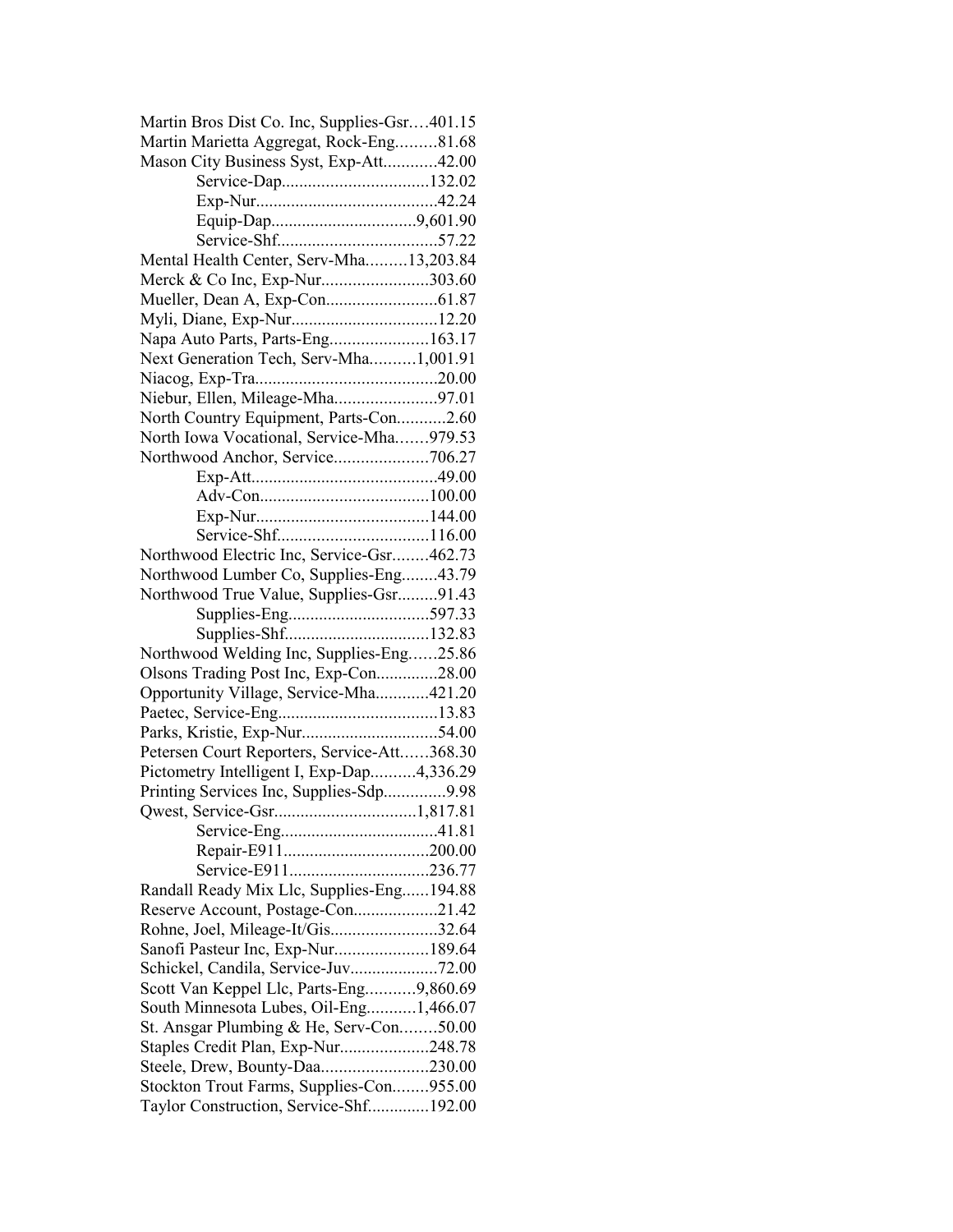| Martin Bros Dist Co. Inc, Supplies-Gsr401.15<br>Martin Marietta Aggregat, Rock-Eng81.68 |  |
|-----------------------------------------------------------------------------------------|--|
| Mason City Business Syst, Exp-Att42.00                                                  |  |
|                                                                                         |  |
|                                                                                         |  |
|                                                                                         |  |
|                                                                                         |  |
|                                                                                         |  |
| Mental Health Center, Serv-Mha13,203.84                                                 |  |
| Merck & Co Inc, Exp-Nur303.60                                                           |  |
|                                                                                         |  |
| Myli, Diane, Exp-Nur12.20                                                               |  |
| Napa Auto Parts, Parts-Eng163.17                                                        |  |
| Next Generation Tech, Serv-Mha1,001.91                                                  |  |
|                                                                                         |  |
| Niebur, Ellen, Mileage-Mha97.01                                                         |  |
| North Country Equipment, Parts-Con2.60                                                  |  |
| North Iowa Vocational, Service-Mha979.53                                                |  |
| Northwood Anchor, Service706.27                                                         |  |
|                                                                                         |  |
|                                                                                         |  |
|                                                                                         |  |
|                                                                                         |  |
| Northwood Electric Inc, Service-Gsr462.73                                               |  |
| Northwood Lumber Co, Supplies-Eng43.79                                                  |  |
| Northwood True Value, Supplies-Gsr91.43                                                 |  |
|                                                                                         |  |
|                                                                                         |  |
| Northwood Welding Inc, Supplies-Eng25.86                                                |  |
| Olsons Trading Post Inc, Exp-Con28.00                                                   |  |
| Opportunity Village, Service-Mha421.20                                                  |  |
|                                                                                         |  |
|                                                                                         |  |
| Petersen Court Reporters, Service-Att368.30                                             |  |
| Pictometry Intelligent I, Exp-Dap4,336.29                                               |  |
| Printing Services Inc, Supplies-Sdp9.98                                                 |  |
|                                                                                         |  |
|                                                                                         |  |
|                                                                                         |  |
|                                                                                         |  |
| Randall Ready Mix Llc, Supplies-Eng194.88                                               |  |
| Reserve Account, Postage-Con21.42                                                       |  |
| Rohne, Joel, Mileage-It/Gis32.64                                                        |  |
| Sanofi Pasteur Inc, Exp-Nur189.64                                                       |  |
|                                                                                         |  |
| Scott Van Keppel Llc, Parts-Eng9,860.69                                                 |  |
| South Minnesota Lubes, Oil-Eng1,466.07                                                  |  |
| St. Ansgar Plumbing & He, Serv-Con50.00                                                 |  |
| Staples Credit Plan, Exp-Nur248.78                                                      |  |
| Steele, Drew, Bounty-Daa230.00                                                          |  |
| Stockton Trout Farms, Supplies-Con955.00                                                |  |
| Taylor Construction, Service-Shf192.00                                                  |  |
|                                                                                         |  |